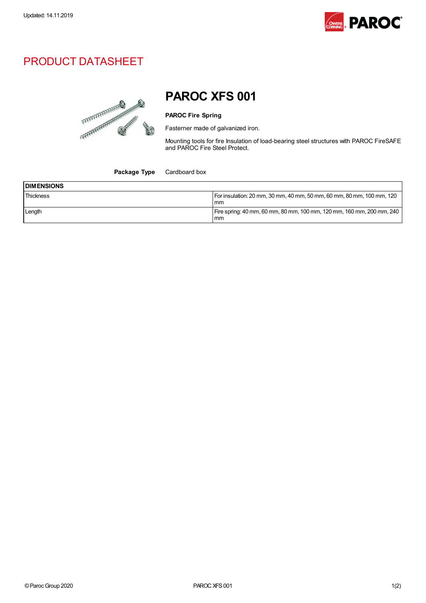

## PRODUCT DATASHEET



PAROC XFS 001

## PAROC Fire Spring

Fasterner made of galvanized iron.

Mounting tools for fire Insulation of load-bearing steel structures with PAROC FireSAFE and PAROC Fire Steel Protect.

Package Type Cardboard box

| <b>DIMENSIONS</b> |                                                                               |
|-------------------|-------------------------------------------------------------------------------|
| Thickness         | For insulation: 20 mm, 30 mm, 40 mm, 50 mm, 60 mm, 80 mm, 100 mm, 120<br>mm   |
| Length            | Fire spring: 40 mm, 60 mm, 80 mm, 100 mm, 120 mm, 160 mm, 200 mm, 240  <br>mm |